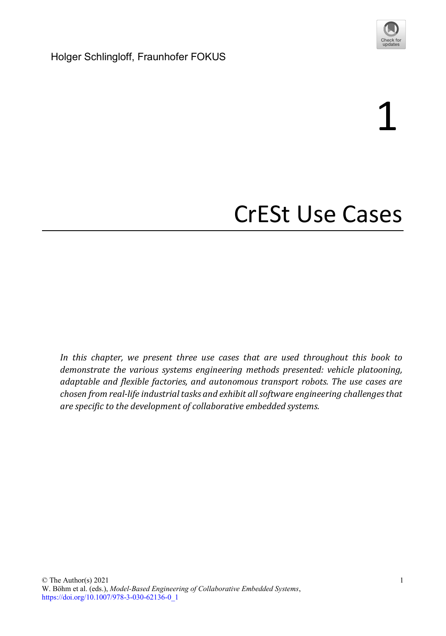

Holger Schlingloff, Fraunhofer FOKUS

# 1

## CrESt Use Cases

*In this chapter, we present three use cases that are used throughout this book to demonstrate the various systems engineering methods presented: vehicle platooning, adaptable and flexible factories, and autonomous transport robots. The use cases are chosen from real-life industrial tasks and exhibit all software engineering challenges that are specific to the development of collaborative embedded systems.*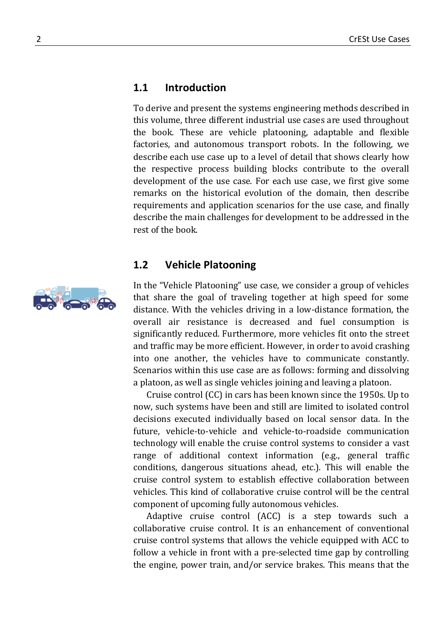#### **1.1 Introduction**

To derive and present the systems engineering methods described in this volume, three different industrial use cases are used throughout the book. These are vehicle platooning, adaptable and flexible factories, and autonomous transport robots. In the following, we describe each use case up to a level of detail that shows clearly how the respective process building blocks contribute to the overall development of the use case. For each use case, we first give some remarks on the historical evolution of the domain, then describe requirements and application scenarios for the use case, and finally describe the main challenges for development to be addressed in the rest of the book.

#### **1.2 Vehicle Platooning**

**CONSTRUCTION** 

In the "Vehicle Platooning" use case, we consider a group of vehicles that share the goal of traveling together at high speed for some distance. With the vehicles driving in a low-distance formation, the overall air resistance is decreased and fuel consumption is significantly reduced. Furthermore, more vehicles fit onto the street and traffic may be more efficient. However, in order to avoid crashing into one another, the vehicles have to communicate constantly. Scenarios within this use case are as follows: forming and dissolving a platoon, as well as single vehicles joining and leaving a platoon.

Cruise control (CC) in cars has been known since the 1950s. Up to now, such systems have been and still are limited to isolated control decisions executed individually based on local sensor data. In the future, vehicle-to-vehicle and vehicle-to-roadside communication technology will enable the cruise control systems to consider a vast range of additional context information (e.g., general traffic conditions, dangerous situations ahead, etc.). This will enable the cruise control system to establish effective collaboration between vehicles. This kind of collaborative cruise control will be the central component of upcoming fully autonomous vehicles.

Adaptive cruise control (ACC) is a step towards such a collaborative cruise control. It is an enhancement of conventional cruise control systems that allows the vehicle equipped with ACC to follow a vehicle in front with a pre-selected time gap by controlling the engine, power train, and/or service brakes. This means that the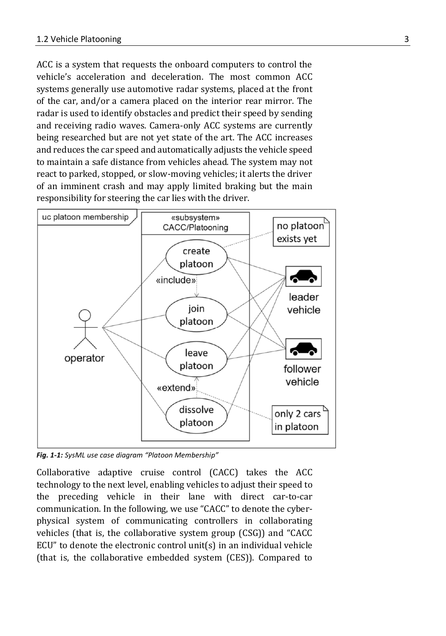ACC is a system that requests the onboard computers to control the vehicle's acceleration and deceleration. The most common ACC systems generally use automotive radar systems, placed at the front of the car, and/or a camera placed on the interior rear mirror. The radar is used to identify obstacles and predict their speed by sending and receiving radio waves. Camera-only ACC systems are currently being researched but are not yet state of the art. The ACC increases and reduces the car speed and automatically adjusts the vehicle speed to maintain a safe distance from vehicles ahead. The system may not react to parked, stopped, or slow-moving vehicles; it alerts the driver of an imminent crash and may apply limited braking but the main responsibility for steering the car lies with the driver.

<span id="page-2-0"></span>

*Fig. 1-1: SysML use case diagram "Platoon Membership"*

Collaborative adaptive cruise control (CACC) takes the ACC technology to the next level, enabling vehicles to adjust their speed to the preceding vehicle in their lane with direct car-to-car communication. In the following, we use "CACC" to denote the cyberphysical system of communicating controllers in collaborating vehicles (that is, the collaborative system group (CSG)) and "CACC ECU" to denote the electronic control unit(s) in an individual vehicle (that is, the collaborative embedded system (CES)). Compared to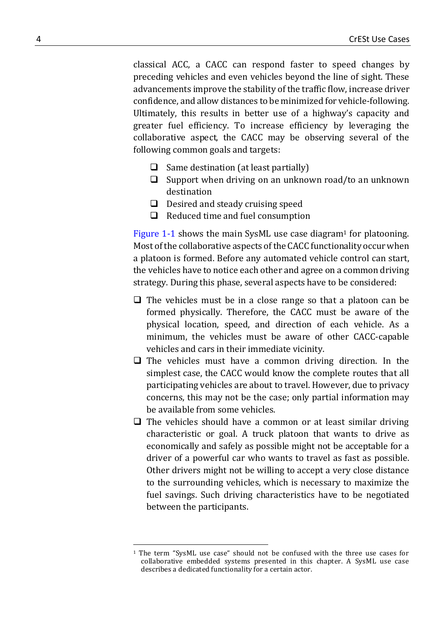classical ACC, a CACC can respond faster to speed changes by preceding vehicles and even vehicles beyond the line of sight. These advancements improve the stability of the traffic flow, increase driver confidence, and allow distances to be minimized for vehicle-following. Ultimately, this results in better use of a highway's capacity and greater fuel efficiency. To increase efficiency by leveraging the collaborative aspect, the CACC may be observing several of the following common goals and targets:

- $\Box$  Same destination (at least partially)
- $\Box$  Support when driving on an unknown road/to an unknown destination
- $\Box$  Desired and steady cruising speed
- $\Box$  Reduced time and fuel consumption

[Figure](#page-2-0) 1-1 shows the main SysML use case diagram<sup>1</sup> for platooning. Most of the collaborative aspects of the CACC functionality occur when a platoon is formed. Before any automated vehicle control can start, the vehicles have to notice each other and agree on a common driving strategy. During this phase, several aspects have to be considered:

- $\Box$  The vehicles must be in a close range so that a platoon can be formed physically. Therefore, the CACC must be aware of the physical location, speed, and direction of each vehicle. As a minimum, the vehicles must be aware of other CACC-capable vehicles and cars in their immediate vicinity.
- $\Box$  The vehicles must have a common driving direction. In the simplest case, the CACC would know the complete routes that all participating vehicles are about to travel. However, due to privacy concerns, this may not be the case; only partial information may be available from some vehicles.
- $\Box$  The vehicles should have a common or at least similar driving characteristic or goal. A truck platoon that wants to drive as economically and safely as possible might not be acceptable for a driver of a powerful car who wants to travel as fast as possible. Other drivers might not be willing to accept a very close distance to the surrounding vehicles, which is necessary to maximize the fuel savings. Such driving characteristics have to be negotiated between the participants.

<sup>1</sup> The term "SysML use case" should not be confused with the three use cases for collaborative embedded systems presented in this chapter. A SysML use case describes a dedicated functionality for a certain actor.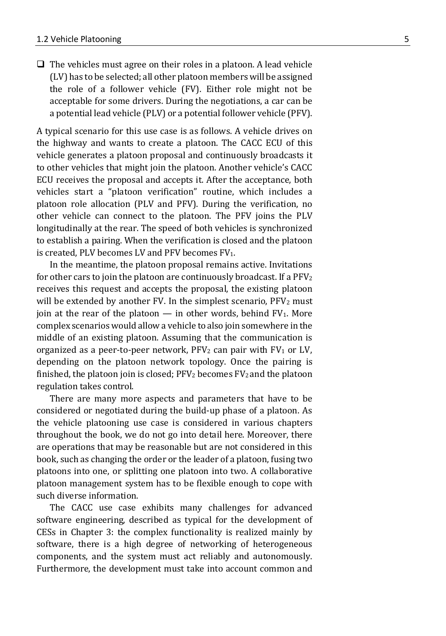$\Box$  The vehicles must agree on their roles in a platoon. A lead vehicle (LV) has to be selected; all other platoon members will be assigned the role of a follower vehicle (FV). Either role might not be acceptable for some drivers. During the negotiations, a car can be a potential lead vehicle (PLV) or a potential follower vehicle (PFV).

A typical scenario for this use case is as follows. A vehicle drives on the highway and wants to create a platoon. The CACC ECU of this vehicle generates a platoon proposal and continuously broadcasts it to other vehicles that might join the platoon. Another vehicle's CACC ECU receives the proposal and accepts it. After the acceptance, both vehicles start a "platoon verification" routine, which includes a platoon role allocation (PLV and PFV). During the verification, no other vehicle can connect to the platoon. The PFV joins the PLV longitudinally at the rear. The speed of both vehicles is synchronized to establish a pairing. When the verification is closed and the platoon is created, PLV becomes LV and PFV becomes  $FV_1$ .

In the meantime, the platoon proposal remains active. Invitations for other cars to join the platoon are continuously broadcast. If a PFV<sub>2</sub> receives this request and accepts the proposal, the existing platoon will be extended by another FV. In the simplest scenario,  $PFV<sub>2</sub>$  must join at the rear of the platoon  $-$  in other words, behind FV<sub>1</sub>. More complex scenarios would allow a vehicle to also join somewhere in the middle of an existing platoon. Assuming that the communication is organized as a peer-to-peer network,  $PFV_2$  can pair with  $FV_1$  or LV, depending on the platoon network topology. Once the pairing is finished, the platoon join is closed;  $PFV_2$  becomes  $FV_2$  and the platoon regulation takes control.

There are many more aspects and parameters that have to be considered or negotiated during the build-up phase of a platoon. As the vehicle platooning use case is considered in various chapters throughout the book, we do not go into detail here. Moreover, there are operations that may be reasonable but are not considered in this book, such as changing the order or the leader of a platoon, fusing two platoons into one, or splitting one platoon into two. A collaborative platoon management system has to be flexible enough to cope with such diverse information.

The CACC use case exhibits many challenges for advanced software engineering, described as typical for the development of CESs in Chapter 3: the complex functionality is realized mainly by software, there is a high degree of networking of heterogeneous components, and the system must act reliably and autonomously. Furthermore, the development must take into account common and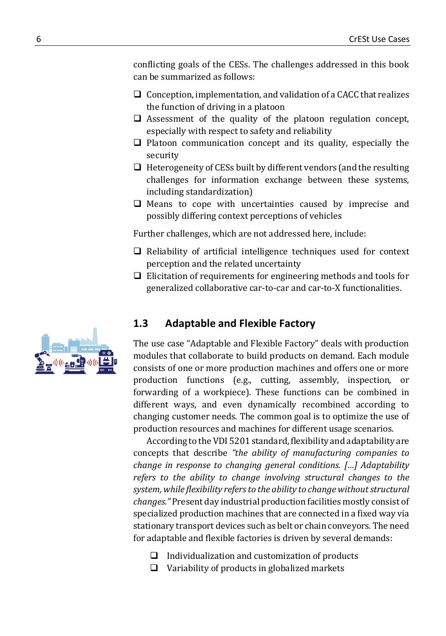conflicting goals of the CESs. The challenges addressed in this book can be summarized as follows:

- $\Box$  Conception, implementation, and validation of a CACC that realizes the function of driving in a platoon
- $\Box$  Assessment of the quality of the platoon regulation concept, especially with respect to safety and reliability
- $\Box$  Platoon communication concept and its quality, especially the security
- $\Box$  Heterogeneity of CESs built by different vendors (and the resulting challenges for information exchange between these systems, including standardization)
- $\Box$  Means to cope with uncertainties caused by imprecise and possibly differing context perceptions of vehicles

Further challenges, which are not addressed here, include:

- $\Box$  Reliability of artificial intelligence techniques used for context perception and the related uncertainty
- $\Box$  Elicitation of requirements for engineering methods and tools for generalized collaborative car-to-car and car-to-X functionalities.

#### **1.3 Adaptable and Flexible Factory**

The use case "Adaptable and Flexible Factory" deals with production modules that collaborate to build products on demand. Each module consists of one or more production machines and offers one or more production functions (e.g., cutting, assembly, inspection, or forwarding of a workpiece). These functions can be combined in different ways, and even dynamically recombined according to changing customer needs. The common goal is to optimize the use of production resources and machines for different usage scenarios.

According to the VDI 5201 standard, flexibility and adaptability are concepts that describe *"the ability of manufacturing companies to change in response to changing general conditions. […] Adaptability refers to the ability to change involving structural changes to the system, while flexibility refers to the ability to change without structural changes."* Present day industrial production facilities mostly consist of specialized production machines that are connected in a fixed way via stationary transport devices such as belt or chain conveyors. The need for adaptable and flexible factories is driven by several demands:

- $\Box$  Individualization and customization of products
- $\Box$  Variability of products in globalized markets

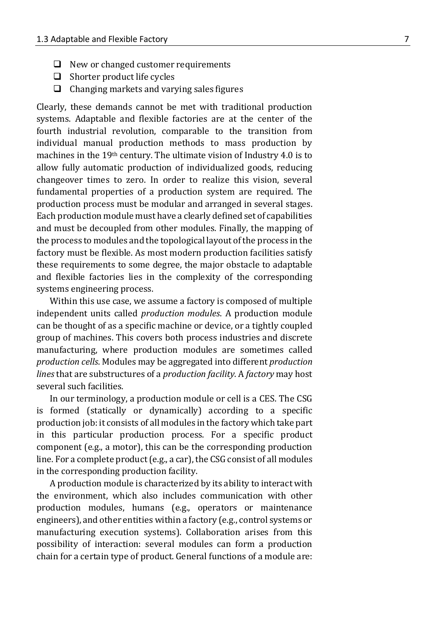- $\Box$  New or changed customer requirements
- $\Box$  Shorter product life cycles
- $\Box$  Changing markets and varying sales figures

Clearly, these demands cannot be met with traditional production systems. Adaptable and flexible factories are at the center of the fourth industrial revolution, comparable to the transition from individual manual production methods to mass production by machines in the 19th century. The ultimate vision of Industry 4.0 is to allow fully automatic production of individualized goods, reducing changeover times to zero. In order to realize this vision, several fundamental properties of a production system are required. The production process must be modular and arranged in several stages. Each production module must have a clearly defined set of capabilities and must be decoupled from other modules. Finally, the mapping of the process to modules and the topological layout of the process in the factory must be flexible. As most modern production facilities satisfy these requirements to some degree, the major obstacle to adaptable and flexible factories lies in the complexity of the corresponding systems engineering process.

Within this use case, we assume a factory is composed of multiple independent units called *production modules*. A production module can be thought of as a specific machine or device, or a tightly coupled group of machines. This covers both process industries and discrete manufacturing, where production modules are sometimes called *production cells*. Modules may be aggregated into different *production lines*that are substructures of a *production facility*. A *factory* may host several such facilities.

In our terminology, a production module or cell is a CES. The CSG is formed (statically or dynamically) according to a specific production job: it consists of all modules in the factory which take part in this particular production process. For a specific product component (e.g., a motor), this can be the corresponding production line. For a complete product (e.g., a car), the CSG consist of all modules in the corresponding production facility.

A production module is characterized by its ability to interact with the environment, which also includes communication with other production modules, humans (e.g., operators or maintenance engineers), and other entities within a factory (e.g., control systems or manufacturing execution systems). Collaboration arises from this possibility of interaction: several modules can form a production chain for a certain type of product. General functions of a module are: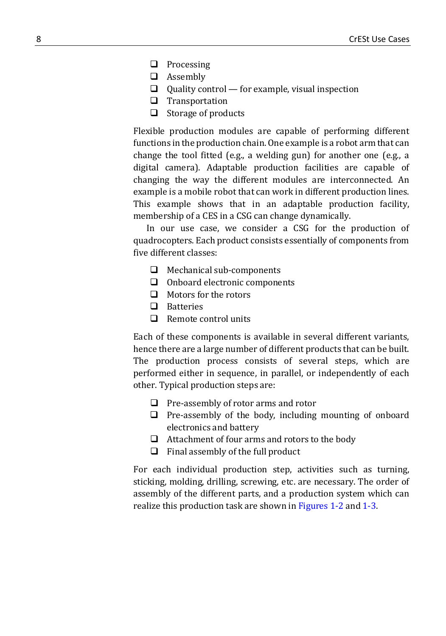- $\Box$  Processing
- □ Assembly
- Quality control for example, visual inspection
- **T** Transportation
- $\Box$  Storage of products

Flexible production modules are capable of performing different functions in the production chain. One example is a robot arm that can change the tool fitted (e.g., a welding gun) for another one (e.g., a digital camera). Adaptable production facilities are capable of changing the way the different modules are interconnected. An example is a mobile robot that can work in different production lines. This example shows that in an adaptable production facility, membership of a CES in a CSG can change dynamically.

In our use case, we consider a CSG for the production of quadrocopters. Each product consists essentially of components from five different classes:

- $\Box$  Mechanical sub-components
- Onboard electronic components
- $\Box$  Motors for the rotors
- **D** Batteries
- $\Box$  Remote control units

Each of these components is available in several different variants, hence there are a large number of different products that can be built. The production process consists of several steps, which are performed either in sequence, in parallel, or independently of each other. Typical production steps are:

- $\Box$  Pre-assembly of rotor arms and rotor
- $\Box$  Pre-assembly of the body, including mounting of onboard electronics and battery
- $\Box$  Attachment of four arms and rotors to the body
- $\Box$  Final assembly of the full product

For each individual production step, activities such as turning, sticking, molding, drilling, screwing, etc. are necessary. The order of assembly of the different parts, and a production system which can realize this production task are shown in [Figures](#page-8-0) 1-2 and [1-3](#page-8-1).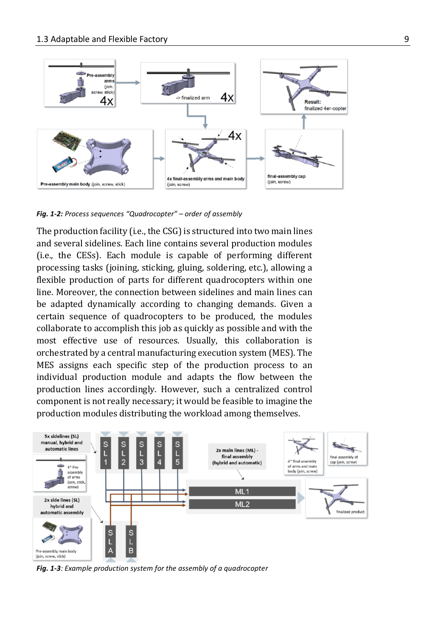<span id="page-8-0"></span>

*Fig. 1-2: Process sequences "Quadrocopter" – order of assembly*

The production facility (i.e., the CSG) is structured into two main lines and several sidelines. Each line contains several production modules (i.e., the CESs). Each module is capable of performing different processing tasks (joining, sticking, gluing, soldering, etc.), allowing a flexible production of parts for different quadrocopters within one line. Moreover, the connection between sidelines and main lines can be adapted dynamically according to changing demands. Given a certain sequence of quadrocopters to be produced, the modules collaborate to accomplish this job as quickly as possible and with the most effective use of resources. Usually, this collaboration is orchestrated by a central manufacturing execution system (MES). The MES assigns each specific step of the production process to an individual production module and adapts the flow between the production lines accordingly. However, such a centralized control component is not really necessary; it would be feasible to imagine the production modules distributing the workload among themselves.

<span id="page-8-2"></span><span id="page-8-1"></span>

*Fig. 1-3: Example production system for the assembly of a quadrocopter*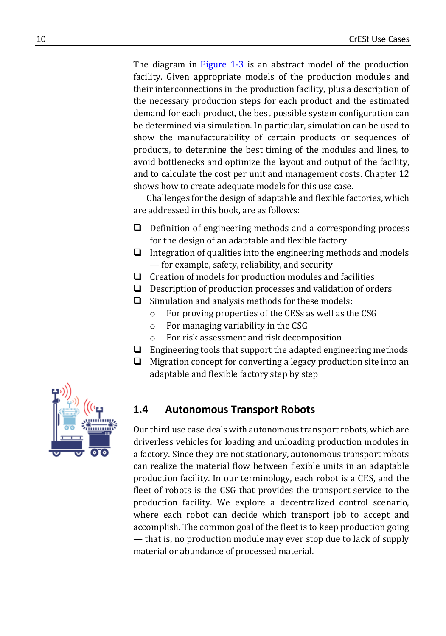The diagram in [Figure](#page-8-2) 1-3 is an abstract model of the production facility. Given appropriate models of the production modules and their interconnections in the production facility, plus a description of the necessary production steps for each product and the estimated demand for each product, the best possible system configuration can be determined via simulation. In particular, simulation can be used to show the manufacturability of certain products or sequences of products, to determine the best timing of the modules and lines, to avoid bottlenecks and optimize the layout and output of the facility, and to calculate the cost per unit and management costs. Chapter 12 shows how to create adequate models for this use case.

Challenges for the design of adaptable and flexible factories, which are addressed in this book, are as follows:

- $\Box$  Definition of engineering methods and a corresponding process for the design of an adaptable and flexible factory
- $\Box$  Integration of qualities into the engineering methods and models — for example, safety, reliability, and security
- $\Box$  Creation of models for production modules and facilities
- $\Box$  Description of production processes and validation of orders
- $\Box$  Simulation and analysis methods for these models:
	- o For proving properties of the CESs as well as the CSG
	- o For managing variability in the CSG
	- o For risk assessment and risk decomposition
- $\Box$  Engineering tools that support the adapted engineering methods
- $\Box$  Migration concept for converting a legacy production site into an adaptable and flexible factory step by step



### **1.4 Autonomous Transport Robots**

Our third use case deals with autonomous transport robots, which are driverless vehicles for loading and unloading production modules in a factory. Since they are not stationary, autonomous transport robots can realize the material flow between flexible units in an adaptable production facility. In our terminology, each robot is a CES, and the fleet of robots is the CSG that provides the transport service to the production facility. We explore a decentralized control scenario, where each robot can decide which transport job to accept and accomplish. The common goal of the fleet is to keep production going — that is, no production module may ever stop due to lack of supply material or abundance of processed material.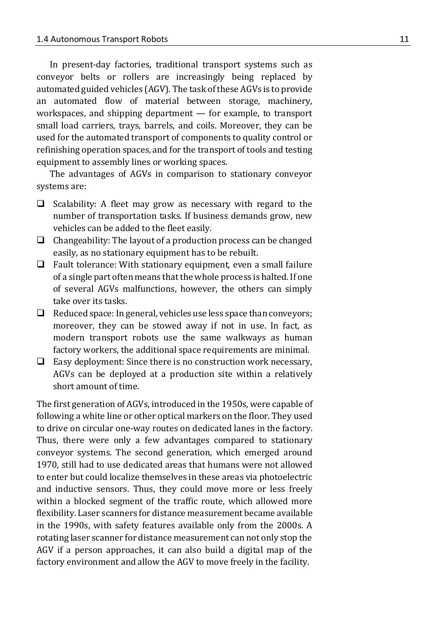In present-day factories, traditional transport systems such as conveyor belts or rollers are increasingly being replaced by automated guided vehicles (AGV). The task of these AGVs is to provide an automated flow of material between storage, machinery, workspaces, and shipping department — for example, to transport small load carriers, trays, barrels, and coils. Moreover, they can be used for the automated transport of components to quality control or refinishing operation spaces, and for the transport of tools and testing equipment to assembly lines or working spaces.

The advantages of AGVs in comparison to stationary conveyor systems are:

- $\Box$  Scalability: A fleet may grow as necessary with regard to the number of transportation tasks. If business demands grow, new vehicles can be added to the fleet easily.
- $\Box$  Changeability: The layout of a production process can be changed easily, as no stationary equipment has to be rebuilt.
- $\Box$  Fault tolerance: With stationary equipment, even a small failure of a single part often means that the whole process is halted. If one of several AGVs malfunctions, however, the others can simply take over its tasks.
- $\Box$  Reduced space: In general, vehicles use less space than conveyors; moreover, they can be stowed away if not in use. In fact, as modern transport robots use the same walkways as human factory workers, the additional space requirements are minimal.
- $\Box$  Easy deployment: Since there is no construction work necessary, AGVs can be deployed at a production site within a relatively short amount of time.

The first generation of AGVs, introduced in the 1950s, were capable of following a white line or other optical markers on the floor. They used to drive on circular one-way routes on dedicated lanes in the factory. Thus, there were only a few advantages compared to stationary conveyor systems. The second generation, which emerged around 1970, still had to use dedicated areas that humans were not allowed to enter but could localize themselves in these areas via photoelectric and inductive sensors. Thus, they could move more or less freely within a blocked segment of the traffic route, which allowed more flexibility. Laser scanners for distance measurement became available in the 1990s, with safety features available only from the 2000s. A rotating laser scanner for distance measurement can not only stop the AGV if a person approaches, it can also build a digital map of the factory environment and allow the AGV to move freely in the facility.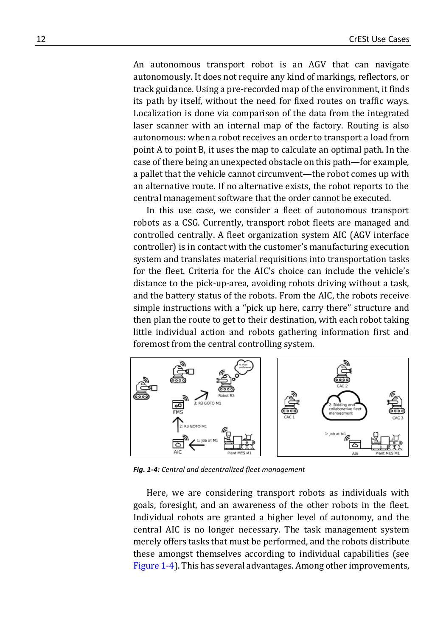An autonomous transport robot is an AGV that can navigate autonomously. It does not require any kind of markings, reflectors, or track guidance. Using a pre-recorded map of the environment, it finds its path by itself, without the need for fixed routes on traffic ways. Localization is done via comparison of the data from the integrated laser scanner with an internal map of the factory. Routing is also autonomous: when a robot receives an order to transport a load from point A to point B, it uses the map to calculate an optimal path. In the case of there being an unexpected obstacle on this path—for example, a pallet that the vehicle cannot circumvent—the robot comes up with an alternative route. If no alternative exists, the robot reports to the central management software that the order cannot be executed.

In this use case, we consider a fleet of autonomous transport robots as a CSG. Currently, transport robot fleets are managed and controlled centrally. A fleet organization system AIC (AGV interface controller) is in contact with the customer's manufacturing execution system and translates material requisitions into transportation tasks for the fleet. Criteria for the AIC's choice can include the vehicle's distance to the pick-up-area, avoiding robots driving without a task, and the battery status of the robots. From the AIC, the robots receive simple instructions with a "pick up here, carry there" structure and then plan the route to get to their destination, with each robot taking little individual action and robots gathering information first and foremost from the central controlling system.

<span id="page-11-0"></span>

*Fig. 1-4: Central and decentralized fleet management* 

Here, we are considering transport robots as individuals with goals, foresight, and an awareness of the other robots in the fleet. Individual robots are granted a higher level of autonomy, and the central AIC is no longer necessary. The task management system merely offers tasks that must be performed, and the robots distribute these amongst themselves according to individual capabilities (see [Figure](#page-11-0) 1-4). This has several advantages. Among other improvements,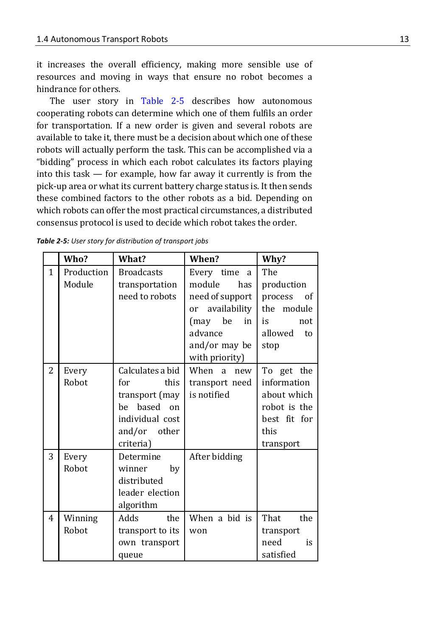it increases the overall efficiency, making more sensible use of resources and moving in ways that ensure no robot becomes a hindrance for others.

The user story in [Table](#page-12-0) 2-5 describes how autonomous cooperating robots can determine which one of them fulfils an order for transportation. If a new order is given and several robots are available to take it, there must be a decision about which one of these robots will actually perform the task. This can be accomplished via a "bidding" process in which each robot calculates its factors playing into this task — for example, how far away it currently is from the pick-up area or what its current battery charge status is. It then sends these combined factors to the other robots as a bid. Depending on which robots can offer the most practical circumstances, a distributed consensus protocol is used to decide which robot takes the order.

|   | Who?                 | What?                                                                                                                          | When?                                                                                                                                    | Why?                                                                                          |
|---|----------------------|--------------------------------------------------------------------------------------------------------------------------------|------------------------------------------------------------------------------------------------------------------------------------------|-----------------------------------------------------------------------------------------------|
| 1 | Production<br>Module | <b>Broadcasts</b><br>transportation<br>need to robots                                                                          | Every time<br>a<br>module<br>has<br>need of support<br>availability<br>or<br>(may be<br>in<br>advance<br>and/or may be<br>with priority) | The<br>production<br>process<br>- of<br>the module<br>is<br>not<br>allowed<br>to<br>stop      |
| 2 | Every<br>Robot       | Calculates a bid<br>this<br>for<br>transport (may<br>based<br>he<br>$_{0n}$<br>individual cost<br>and/or<br>other<br>criteria) | When<br>a<br>new<br>transport need<br>is notified                                                                                        | To get the<br>information<br>about which<br>robot is the<br>best fit for<br>this<br>transport |
| 3 | Every<br>Robot       | Determine<br>winner<br>by<br>distributed<br>leader election<br>algorithm                                                       | After bidding                                                                                                                            |                                                                                               |
| 4 | Winning<br>Robot     | Adds<br>the<br>transport to its<br>own transport<br>queue                                                                      | When a bid is<br>won                                                                                                                     | That<br>the<br>transport<br>need<br>is<br>satisfied                                           |

<span id="page-12-0"></span>*Table 2-5: User story for distribution of transport jobs*